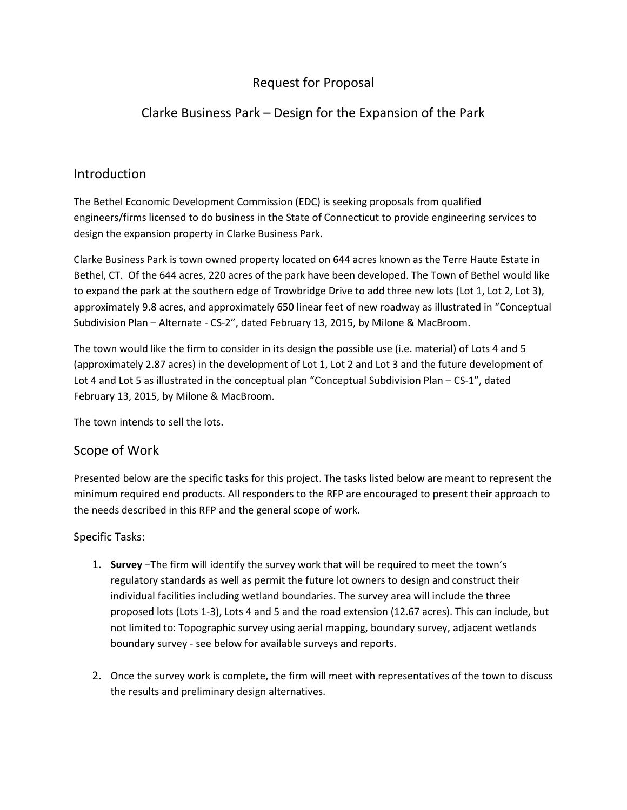# Request for Proposal

# Clarke Business Park – Design for the Expansion of the Park

### Introduction

The Bethel Economic Development Commission (EDC) is seeking proposals from qualified engineers/firms licensed to do business in the State of Connecticut to provide engineering services to design the expansion property in Clarke Business Park.

Clarke Business Park is town owned property located on 644 acres known as the Terre Haute Estate in Bethel, CT. Of the 644 acres, 220 acres of the park have been developed. The Town of Bethel would like to expand the park at the southern edge of Trowbridge Drive to add three new lots (Lot 1, Lot 2, Lot 3), approximately 9.8 acres, and approximately 650 linear feet of new roadway as illustrated in "Conceptual Subdivision Plan – Alternate - CS-2", dated February 13, 2015, by Milone & MacBroom.

The town would like the firm to consider in its design the possible use (i.e. material) of Lots 4 and 5 (approximately 2.87 acres) in the development of Lot 1, Lot 2 and Lot 3 and the future development of Lot 4 and Lot 5 as illustrated in the conceptual plan "Conceptual Subdivision Plan – CS-1", dated February 13, 2015, by Milone & MacBroom.

The town intends to sell the lots.

#### Scope of Work

Presented below are the specific tasks for this project. The tasks listed below are meant to represent the minimum required end products. All responders to the RFP are encouraged to present their approach to the needs described in this RFP and the general scope of work.

#### Specific Tasks:

- 1. **Survey** –The firm will identify the survey work that will be required to meet the town's regulatory standards as well as permit the future lot owners to design and construct their individual facilities including wetland boundaries. The survey area will include the three proposed lots (Lots 1-3), Lots 4 and 5 and the road extension (12.67 acres). This can include, but not limited to: Topographic survey using aerial mapping, boundary survey, adjacent wetlands boundary survey - see below for available surveys and reports.
- 2. Once the survey work is complete, the firm will meet with representatives of the town to discuss the results and preliminary design alternatives.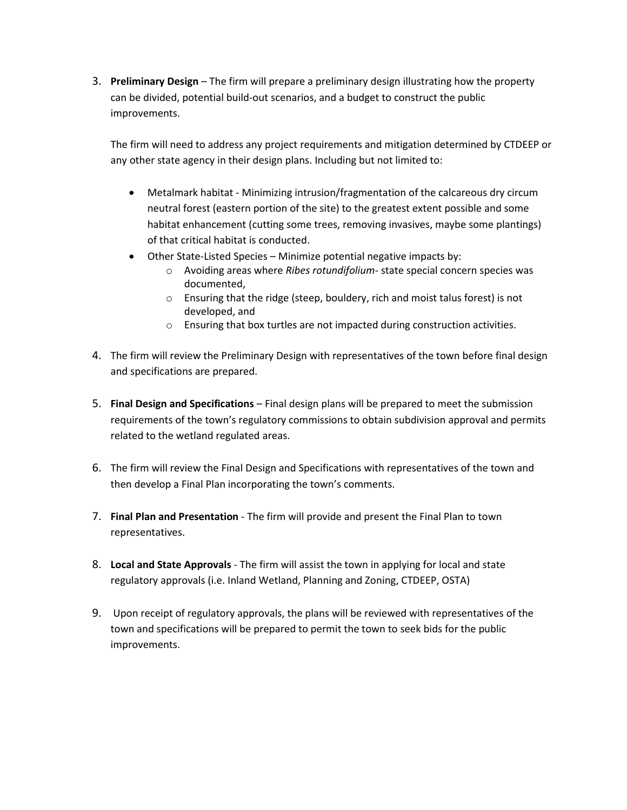3. **Preliminary Design** – The firm will prepare a preliminary design illustrating how the property can be divided, potential build-out scenarios, and a budget to construct the public improvements.

The firm will need to address any project requirements and mitigation determined by CTDEEP or any other state agency in their design plans. Including but not limited to:

- Metalmark habitat Minimizing intrusion/fragmentation of the calcareous dry circum neutral forest (eastern portion of the site) to the greatest extent possible and some habitat enhancement (cutting some trees, removing invasives, maybe some plantings) of that critical habitat is conducted.
- Other State-Listed Species Minimize potential negative impacts by:
	- o Avoiding areas where *Ribes rotundifolium* state special concern species was documented,
	- o Ensuring that the ridge (steep, bouldery, rich and moist talus forest) is not developed, and
	- o Ensuring that box turtles are not impacted during construction activities.
- 4. The firm will review the Preliminary Design with representatives of the town before final design and specifications are prepared.
- 5. **Final Design and Specifications** Final design plans will be prepared to meet the submission requirements of the town's regulatory commissions to obtain subdivision approval and permits related to the wetland regulated areas.
- 6. The firm will review the Final Design and Specifications with representatives of the town and then develop a Final Plan incorporating the town's comments.
- 7. **Final Plan and Presentation** The firm will provide and present the Final Plan to town representatives.
- 8. **Local and State Approvals** The firm will assist the town in applying for local and state regulatory approvals (i.e. Inland Wetland, Planning and Zoning, CTDEEP, OSTA)
- 9. Upon receipt of regulatory approvals, the plans will be reviewed with representatives of the town and specifications will be prepared to permit the town to seek bids for the public improvements.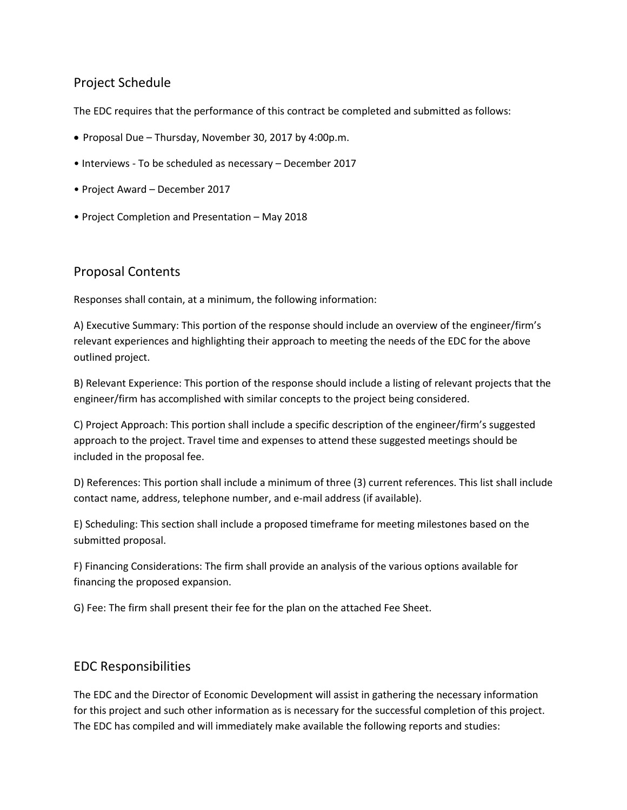# Project Schedule

The EDC requires that the performance of this contract be completed and submitted as follows:

- Proposal Due Thursday, November 30, 2017 by 4:00p.m.
- Interviews To be scheduled as necessary December 2017
- Project Award December 2017
- Project Completion and Presentation May 2018

## Proposal Contents

Responses shall contain, at a minimum, the following information:

A) Executive Summary: This portion of the response should include an overview of the engineer/firm's relevant experiences and highlighting their approach to meeting the needs of the EDC for the above outlined project.

B) Relevant Experience: This portion of the response should include a listing of relevant projects that the engineer/firm has accomplished with similar concepts to the project being considered.

C) Project Approach: This portion shall include a specific description of the engineer/firm's suggested approach to the project. Travel time and expenses to attend these suggested meetings should be included in the proposal fee.

D) References: This portion shall include a minimum of three (3) current references. This list shall include contact name, address, telephone number, and e-mail address (if available).

E) Scheduling: This section shall include a proposed timeframe for meeting milestones based on the submitted proposal.

F) Financing Considerations: The firm shall provide an analysis of the various options available for financing the proposed expansion.

G) Fee: The firm shall present their fee for the plan on the attached Fee Sheet.

## EDC Responsibilities

The EDC and the Director of Economic Development will assist in gathering the necessary information for this project and such other information as is necessary for the successful completion of this project. The EDC has compiled and will immediately make available the following reports and studies: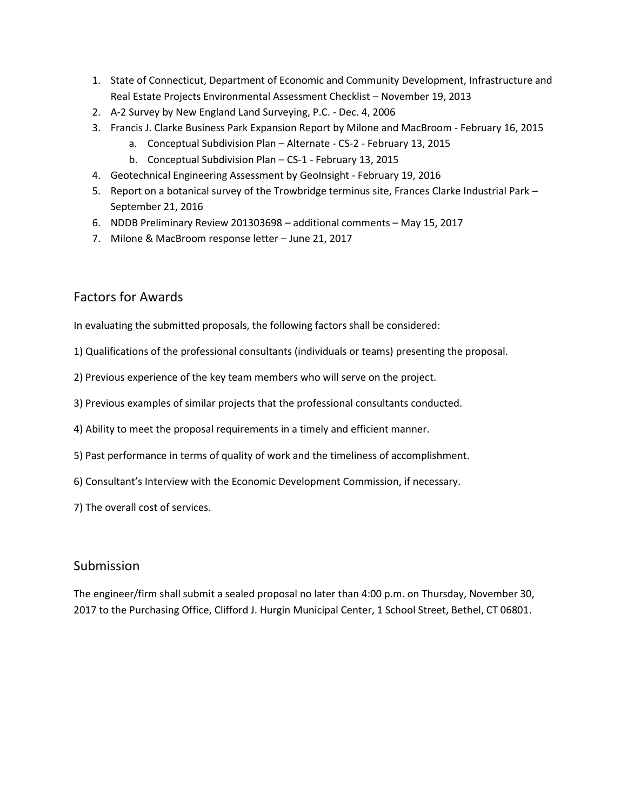- 1. State of Connecticut, Department of Economic and Community Development, Infrastructure and Real Estate Projects Environmental Assessment Checklist – November 19, 2013
- 2. A-2 Survey by New England Land Surveying, P.C. Dec. 4, 2006
- 3. Francis J. Clarke Business Park Expansion Report by Milone and MacBroom February 16, 2015
	- a. Conceptual Subdivision Plan Alternate CS-2 February 13, 2015
	- b. Conceptual Subdivision Plan CS-1 February 13, 2015
- 4. Geotechnical Engineering Assessment by GeoInsight February 19, 2016
- 5. Report on a botanical survey of the Trowbridge terminus site, Frances Clarke Industrial Park September 21, 2016
- 6. NDDB Preliminary Review 201303698 additional comments May 15, 2017
- 7. Milone & MacBroom response letter June 21, 2017

## Factors for Awards

In evaluating the submitted proposals, the following factors shall be considered:

- 1) Qualifications of the professional consultants (individuals or teams) presenting the proposal.
- 2) Previous experience of the key team members who will serve on the project.
- 3) Previous examples of similar projects that the professional consultants conducted.
- 4) Ability to meet the proposal requirements in a timely and efficient manner.
- 5) Past performance in terms of quality of work and the timeliness of accomplishment.
- 6) Consultant's Interview with the Economic Development Commission, if necessary.
- 7) The overall cost of services.

#### Submission

The engineer/firm shall submit a sealed proposal no later than 4:00 p.m. on Thursday, November 30, 2017 to the Purchasing Office, Clifford J. Hurgin Municipal Center, 1 School Street, Bethel, CT 06801.